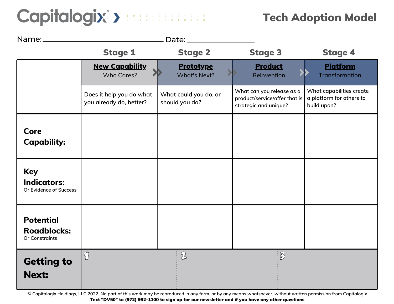### Capitalogix > **Manufacture**

### Tech Adoption Model

| Name:                                                           | Date:                                               |                                         |                                                                                     |                                                                     |
|-----------------------------------------------------------------|-----------------------------------------------------|-----------------------------------------|-------------------------------------------------------------------------------------|---------------------------------------------------------------------|
|                                                                 | <b>Stage 1</b>                                      | <b>Stage 2</b>                          | <b>Stage 3</b>                                                                      | <b>Stage 4</b>                                                      |
|                                                                 | <b>New Capability</b><br><b>Who Cares?</b>          | <b>Prototype</b><br><b>What's Next?</b> | <b>Product</b><br>Reinvention                                                       | Platform<br><b>Transformation</b>                                   |
|                                                                 | Does it help you do what<br>you already do, better? | What could you do, or<br>should you do? | What can you release as a<br>product/service/offer that is<br>strategic and unique? | What capabilities create<br>a platform for others to<br>build upon? |
| <b>Core</b><br><b>Capability:</b>                               |                                                     |                                         |                                                                                     |                                                                     |
| <b>Key</b><br><b>Indicators:</b><br>Or Evidence of Success      |                                                     |                                         |                                                                                     |                                                                     |
| <b>Potential</b><br><b>Roadblocks:</b><br><b>Or Constraints</b> |                                                     |                                         |                                                                                     |                                                                     |
| <b>Getting to</b><br><b>Next:</b>                               | $\bigcirc$                                          | $\mathbb{Z}$                            | $\ddot{B}$                                                                          |                                                                     |

**© Capitalogix Holdings, LLC 2022. No part of this work may be reproduced in any form, or by any means whatsoever, without written permission from Capitalogix** Text "DV50" to (972) 992-1100 to sign up for our newsletter and if you have any other questions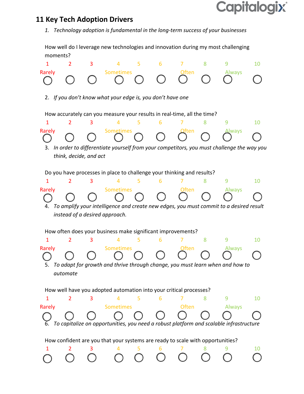### **Capitalogix®**

#### **11 Key Tech Adoption Drivers**

*1. Technology adoption is fundamental in the long-term success of your businesses*

How well do I leverage new technologies and innovation during my most challenging moments?

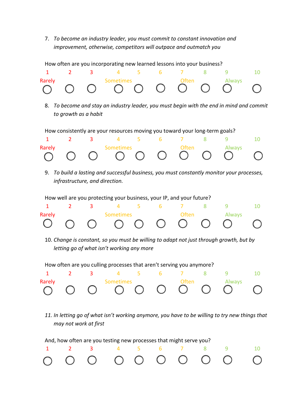7. *To become an industry leader, you must commit to constant innovation and improvement, otherwise, competitors will outpace and outmatch you*



And, how often are you testing new processes that might serve you?